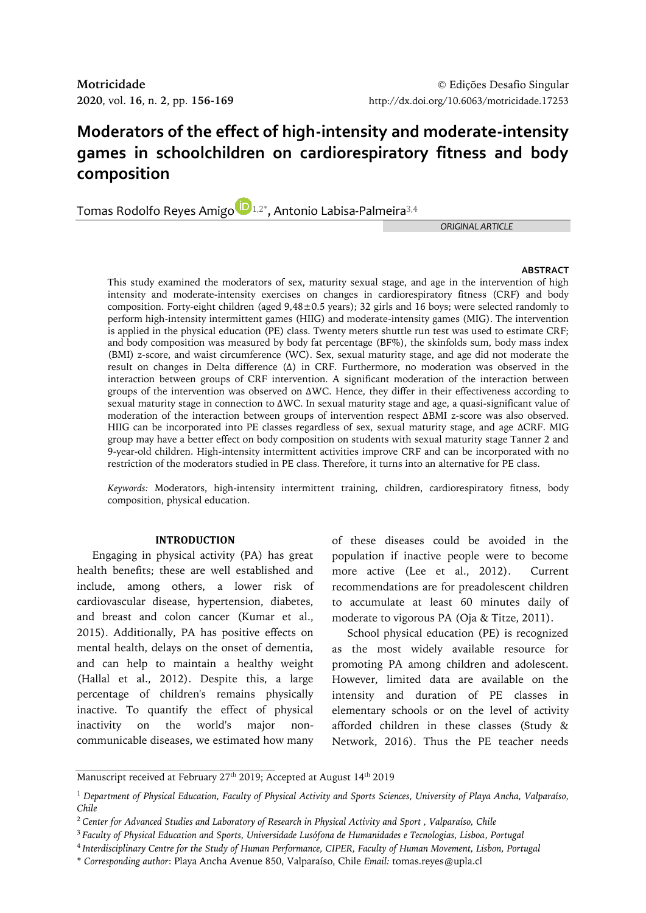# **Moderators of the effect of high-intensity and moderate-intensity games in schoolchildren on cardiorespiratory fitness and body composition**

T[o](http://orcid.org/0000-0001-6510-1230)mas Rodolfo Reyes Amigo $\bigcup_{1,2^*}$ , Antonio Labisa-Palmeira $^{3,4}$ 

*ORIGINAL ARTICLE*

# **ABSTRACT**

This study examined the moderators of sex, maturity sexual stage, and age in the intervention of high intensity and moderate-intensity exercises on changes in cardiorespiratory fitness (CRF) and body composition. Forty-eight children (aged  $9,48\pm0.5$  years); 32 girls and 16 boys; were selected randomly to perform high-intensity intermittent games (HIIG) and moderate-intensity games (MIG). The intervention is applied in the physical education (PE) class. Twenty meters shuttle run test was used to estimate CRF; and body composition was measured by body fat percentage (BF%), the skinfolds sum, body mass index (BMI) z-score, and waist circumference (WC). Sex, sexual maturity stage, and age did not moderate the result on changes in Delta difference (Δ) in CRF. Furthermore, no moderation was observed in the interaction between groups of CRF intervention. A significant moderation of the interaction between groups of the intervention was observed on ΔWC. Hence, they differ in their effectiveness according to sexual maturity stage in connection to ΔWC. In sexual maturity stage and age, a quasi-significant value of moderation of the interaction between groups of intervention respect ΔBMI z-score was also observed. HIIG can be incorporated into PE classes regardless of sex, sexual maturity stage, and age ΔCRF. MIG group may have a better effect on body composition on students with sexual maturity stage Tanner 2 and 9-year-old children. High-intensity intermittent activities improve CRF and can be incorporated with no restriction of the moderators studied in PE class. Therefore, it turns into an alternative for PE class.

*Keywords:* Moderators, high-intensity intermittent training, children, cardiorespiratory fitness, body composition, physical education.

# **INTRODUCTION**

Engaging in physical activity (PA) has great health benefits; these are well established and include, among others, a lower risk of cardiovascular disease, hypertension, diabetes, and breast and colon cancer (Kumar et al., 2015). Additionally, PA has positive effects on mental health, delays on the onset of dementia, and can help to maintain a healthy weight (Hallal et al., 2012). Despite this, a large percentage of children's remains physically inactive. To quantify the effect of physical inactivity on the world's major noncommunicable diseases, we estimated how many

of these diseases could be avoided in the population if inactive people were to become more active (Lee et al., 2012). Current recommendations are for preadolescent children to accumulate at least 60 minutes daily of moderate to vigorous PA (Oja & Titze, 2011).

School physical education (PE) is recognized as the most widely available resource for promoting PA among children and adolescent. However, limited data are available on the intensity and duration of PE classes in elementary schools or on the level of activity afforded children in these classes (Study & Network, 2016). Thus the PE teacher needs

Manuscript received at February 27<sup>th</sup> 2019; Accepted at August 14<sup>th</sup> 2019

<sup>1</sup> *Department of Physical Education, Faculty of Physical Activity and Sports Sciences, University of Playa Ancha, Valparaíso, Chile*

<sup>2</sup>*Center for Advanced Studies and Laboratory of Research in Physical Activity and Sport , Valparaíso, Chile*

<sup>3</sup> *Faculty of Physical Education and Sports, Universidade Lusófona de Humanidades e Tecnologias, Lisboa, Portugal*

<sup>4</sup> *Interdisciplinary Centre for the Study of Human Performance, CIPER, Faculty of Human Movement, Lisbon, Portugal*

<sup>\*</sup> *Corresponding author*: Playa Ancha Avenue 850, Valparaíso, Chile *Email:* tomas.reyes@upla.cl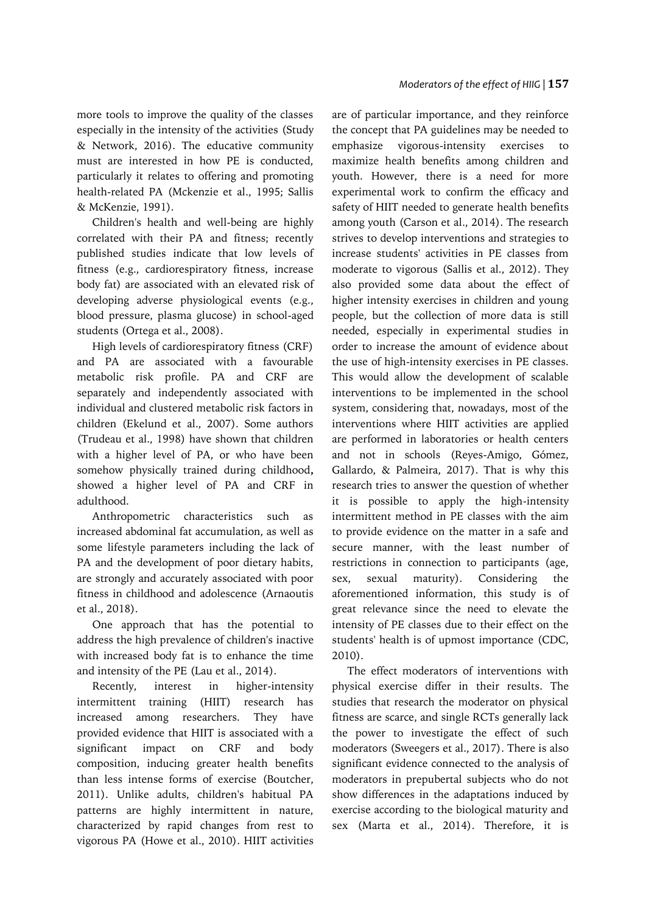more tools to improve the quality of the classes especially in the intensity of the activities (Study & Network, 2016). The educative community must are interested in how PE is conducted, particularly it relates to offering and promoting health-related PA (Mckenzie et al., 1995; Sallis & McKenzie, 1991).

Children's health and well-being are highly correlated with their PA and fitness; recently published studies indicate that low levels of fitness (e.g., cardiorespiratory fitness, increase body fat) are associated with an elevated risk of developing adverse physiological events (e.g., blood pressure, plasma glucose) in school-aged students (Ortega et al., 2008).

High levels of cardiorespiratory fitness (CRF) and PA are associated with a favourable metabolic risk profile. PA and CRF are separately and independently associated with individual and clustered metabolic risk factors in children (Ekelund et al., 2007). Some authors (Trudeau et al., 1998) have shown that children with a higher level of PA, or who have been somehow physically trained during childhood**,**  showed a higher level of PA and CRF in adulthood.

Anthropometric characteristics such as increased abdominal fat accumulation, as well as some lifestyle parameters including the lack of PA and the development of poor dietary habits, are strongly and accurately associated with poor fitness in childhood and adolescence (Arnaoutis et al., 2018).

One approach that has the potential to address the high prevalence of children's inactive with increased body fat is to enhance the time and intensity of the PE (Lau et al., 2014).

Recently, interest in higher-intensity intermittent training (HIIT) research has increased among researchers. They have provided evidence that HIIT is associated with a significant impact on CRF and body composition, inducing greater health benefits than less intense forms of exercise (Boutcher, 2011). Unlike adults, children's habitual PA patterns are highly intermittent in nature, characterized by rapid changes from rest to vigorous PA (Howe et al., 2010). HIIT activities

are of particular importance, and they reinforce the concept that PA guidelines may be needed to emphasize vigorous-intensity exercises maximize health benefits among children and youth. However, there is a need for more experimental work to confirm the efficacy and safety of HIIT needed to generate health benefits among youth (Carson et al., 2014). The research strives to develop interventions and strategies to increase students' activities in PE classes from moderate to vigorous (Sallis et al., 2012). They also provided some data about the effect of higher intensity exercises in children and young people, but the collection of more data is still needed, especially in experimental studies in order to increase the amount of evidence about the use of high-intensity exercises in PE classes. This would allow the development of scalable interventions to be implemented in the school system, considering that, nowadays, most of the interventions where HIIT activities are applied are performed in laboratories or health centers and not in schools (Reyes-Amigo, Gómez, Gallardo, & Palmeira, 2017). That is why this research tries to answer the question of whether it is possible to apply the high-intensity intermittent method in PE classes with the aim to provide evidence on the matter in a safe and secure manner, with the least number of restrictions in connection to participants (age, sex, sexual maturity). Considering the aforementioned information, this study is of great relevance since the need to elevate the intensity of PE classes due to their effect on the students' health is of upmost importance (CDC, 2010).

The effect moderators of interventions with physical exercise differ in their results. The studies that research the moderator on physical fitness are scarce, and single RCTs generally lack the power to investigate the effect of such moderators (Sweegers et al., 2017). There is also significant evidence connected to the analysis of moderators in prepubertal subjects who do not show differences in the adaptations induced by exercise according to the biological maturity and sex (Marta et al., 2014). Therefore, it is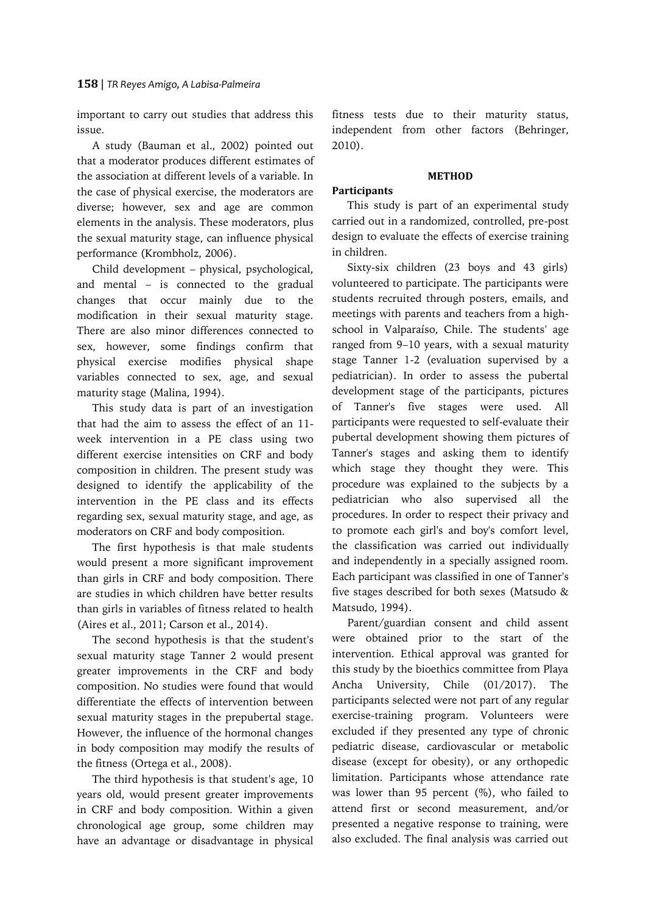important to carry out studies that address this issue.

A study (Bauman et al., 2002) pointed out that a moderator produces different estimates of the association at different levels of a variable. In the case of physical exercise, the moderators are diverse; however, sex and age are common elements in the analysis. These moderators, plus the sexual maturity stage, can influence physical performance (Krombholz, 2006).

Child development – physical, psychological, and mental – is connected to the gradual changes that occur mainly due to the modification in their sexual maturity stage. There are also minor differences connected to sex, however, some findings confirm that physical exercise modifies physical shape variables connected to sex, age, and sexual maturity stage (Malina, 1994).

This study data is part of an investigation that had the aim to assess the effect of an 11 week intervention in a PE class using two different exercise intensities on CRF and body composition in children. The present study was designed to identify the applicability of the intervention in the PE class and its effects regarding sex, sexual maturity stage, and age, as moderators on CRF and body composition.

The first hypothesis is that male students would present a more significant improvement than girls in CRF and body composition. There are studies in which children have better results than girls in variables of fitness related to health (Aires et al., 2011; Carson et al., 2014).

The second hypothesis is that the student's sexual maturity stage Tanner 2 would present greater improvements in the CRF and body composition. No studies were found that would differentiate the effects of intervention between sexual maturity stages in the prepubertal stage. However, the influence of the hormonal changes in body composition may modify the results of the fitness (Ortega et al., 2008).

The third hypothesis is that student's age, 10 years old, would present greater improvements in CRF and body composition. Within a given chronological age group, some children may have an advantage or disadvantage in physical fitness tests due to their maturity status, independent from other factors (Behringer, 2010).

## **METHOD**

# **Participants**

This study is part of an experimental study carried out in a randomized, controlled, pre-post design to evaluate the effects of exercise training in children.

Sixty-six children (23 boys and 43 girls) volunteered to participate. The participants were students recruited through posters, emails, and meetings with parents and teachers from a highschool in Valparaíso, Chile. The students' age ranged from 9–10 years, with a sexual maturity stage Tanner 1-2 (evaluation supervised by a pediatrician). In order to assess the pubertal development stage of the participants, pictures of Tanner's five stages were used. All participants were requested to self-evaluate their pubertal development showing them pictures of Tanner's stages and asking them to identify which stage they thought they were. This procedure was explained to the subjects by a pediatrician who also supervised all the procedures. In order to respect their privacy and to promote each girl's and boy's comfort level, the classification was carried out individually and independently in a specially assigned room. Each participant was classified in one of Tanner's five stages described for both sexes (Matsudo & Matsudo, 1994).

Parent/guardian consent and child assent were obtained prior to the start of the intervention. Ethical approval was granted for this study by the bioethics committee from Playa Ancha University, Chile (01/2017). The participants selected were not part of any regular exercise-training program. Volunteers were excluded if they presented any type of chronic pediatric disease, cardiovascular or metabolic disease (except for obesity), or any orthopedic limitation. Participants whose attendance rate was lower than 95 percent  $(\%)$ , who failed to attend first or second measurement, and/or presented a negative response to training, were also excluded. The final analysis was carried out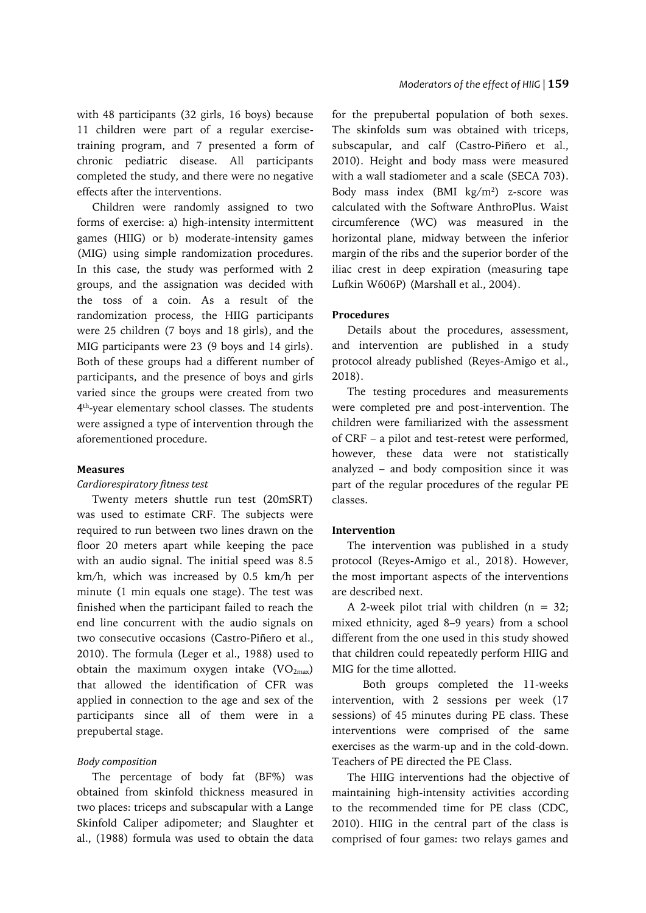with 48 participants (32 girls, 16 boys) because 11 children were part of a regular exercisetraining program, and 7 presented a form of chronic pediatric disease. All participants completed the study, and there were no negative effects after the interventions.

Children were randomly assigned to two forms of exercise: a) high-intensity intermittent games (HIIG) or b) moderate-intensity games (MIG) using simple randomization procedures. In this case, the study was performed with 2 groups, and the assignation was decided with the toss of a coin. As a result of the randomization process, the HIIG participants were 25 children (7 boys and 18 girls), and the MIG participants were 23 (9 boys and 14 girls). Both of these groups had a different number of participants, and the presence of boys and girls varied since the groups were created from two 4 th -year elementary school classes. The students were assigned a type of intervention through the aforementioned procedure.

# **Measures**

# *Cardiorespiratory fitness test*

Twenty meters shuttle run test (20mSRT) was used to estimate CRF. The subjects were required to run between two lines drawn on the floor 20 meters apart while keeping the pace with an audio signal. The initial speed was 8.5 km/h, which was increased by 0.5 km/h per minute (1 min equals one stage). The test was finished when the participant failed to reach the end line concurrent with the audio signals on two consecutive occasions (Castro-Piñero et al., 2010). The formula (Leger et al., 1988) used to obtain the maximum oxygen intake  $(VO<sub>2max</sub>)$ that allowed the identification of CFR was applied in connection to the age and sex of the participants since all of them were in a prepubertal stage.

## *Body composition*

The percentage of body fat (BF%) was obtained from skinfold thickness measured in two places: triceps and subscapular with a Lange Skinfold Caliper adipometer; and Slaughter et al., (1988) formula was used to obtain the data for the prepubertal population of both sexes. The skinfolds sum was obtained with triceps, subscapular, and calf (Castro-Piñero et al., 2010). Height and body mass were measured with a wall stadiometer and a scale (SECA 703). Body mass index  $(BMI \ kg/m^2)$  z-score was calculated with the Software AnthroPlus. Waist circumference (WC) was measured in the horizontal plane, midway between the inferior margin of the ribs and the superior border of the iliac crest in deep expiration (measuring tape Lufkin W606P) (Marshall et al., 2004).

## **Procedures**

Details about the procedures, assessment, and intervention are published in a study protocol already published (Reyes-Amigo et al., 2018).

The testing procedures and measurements were completed pre and post-intervention. The children were familiarized with the assessment of CRF – a pilot and test-retest were performed, however, these data were not statistically analyzed – and body composition since it was part of the regular procedures of the regular PE classes.

## **Intervention**

The intervention was published in a study protocol (Reyes-Amigo et al., 2018). However, the most important aspects of the interventions are described next.

A 2-week pilot trial with children ( $n = 32$ ; mixed ethnicity, aged 8–9 years) from a school different from the one used in this study showed that children could repeatedly perform HIIG and MIG for the time allotted.

Both groups completed the 11-weeks intervention, with 2 sessions per week (17 sessions) of 45 minutes during PE class. These interventions were comprised of the same exercises as the warm-up and in the cold-down. Teachers of PE directed the PE Class.

The HIIG interventions had the objective of maintaining high-intensity activities according to the recommended time for PE class (CDC, 2010). HIIG in the central part of the class is comprised of four games: two relays games and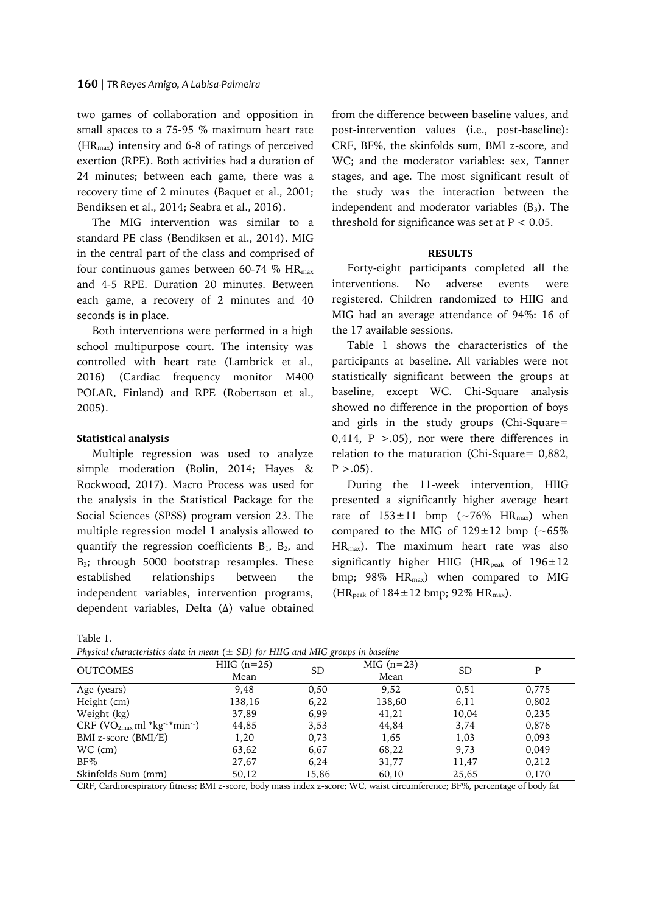two games of collaboration and opposition in small spaces to a 75-95 % maximum heart rate  $(HR<sub>max</sub>)$  intensity and 6-8 of ratings of perceived exertion (RPE). Both activities had a duration of 24 minutes; between each game, there was a recovery time of 2 minutes (Baquet et al., 2001; Bendiksen et al., 2014; Seabra et al., 2016).

The MIG intervention was similar to a standard PE class (Bendiksen et al., 2014). MIG in the central part of the class and comprised of four continuous games between 60-74 %  $HR_{max}$ and 4-5 RPE. Duration 20 minutes. Between each game, a recovery of 2 minutes and 40 seconds is in place.

Both interventions were performed in a high school multipurpose court. The intensity was controlled with heart rate (Lambrick et al., 2016) (Cardiac frequency monitor M400 POLAR, Finland) and RPE (Robertson et al., 2005).

# **Statistical analysis**

Multiple regression was used to analyze simple moderation (Bolin, 2014; Hayes & Rockwood, 2017). Macro Process was used for the analysis in the Statistical Package for the Social Sciences (SPSS) program version 23. The multiple regression model 1 analysis allowed to quantify the regression coefficients  $B_1$ ,  $B_2$ , and B<sub>3</sub>; through 5000 bootstrap resamples. These established relationships between the independent variables, intervention programs, dependent variables, Delta (Δ) value obtained from the difference between baseline values, and post-intervention values (i.e., post-baseline): CRF, BF%, the skinfolds sum, BMI z-score, and WC; and the moderator variables: sex, Tanner stages, and age. The most significant result of the study was the interaction between the independent and moderator variables  $(B_3)$ . The threshold for significance was set at  $P < 0.05$ .

#### **RESULTS**

Forty-eight participants completed all the interventions. No adverse events were registered. Children randomized to HIIG and MIG had an average attendance of 94%: 16 of the 17 available sessions.

Table 1 shows the characteristics of the participants at baseline. All variables were not statistically significant between the groups at baseline, except WC. Chi-Square analysis showed no difference in the proportion of boys and girls in the study groups (Chi-Square= 0,414,  $P > .05$ ), nor were there differences in relation to the maturation (Chi-Square= 0,882,  $P > .05$ ).

During the 11-week intervention, HIIG presented a significantly higher average heart rate of  $153 \pm 11$  bmp (~76% HR<sub>max</sub>) when compared to the MIG of  $129 \pm 12$  bmp (~65%) HRmax). The maximum heart rate was also significantly higher HIIG (HR<sub>peak</sub> of  $196 \pm 12$ bmp; 98%  $HR_{max}$ ) when compared to MIG (HR<sub>peak</sub> of  $184 \pm 12$  bmp; 92% HR<sub>max</sub>).

Table 1.

| Physical characteristics data in mean $(\pm$ SD) for HIIG and MIG groups in baseline |  |  |  |  |  |  |
|--------------------------------------------------------------------------------------|--|--|--|--|--|--|
|--------------------------------------------------------------------------------------|--|--|--|--|--|--|

|                                |               | $\cdots$  |             |       |       |
|--------------------------------|---------------|-----------|-------------|-------|-------|
| <b>OUTCOMES</b>                | HIIG $(n=25)$ | <b>SD</b> | $MIG(n=23)$ | SD.   | P     |
|                                | Mean          |           | Mean        |       |       |
| Age (years)                    | 9.48          | 0.50      | 9,52        | 0,51  | 0,775 |
| Height (cm)                    | 138,16        | 6,22      | 138,60      | 6,11  | 0,802 |
| Weight (kg)                    | 37,89         | 6,99      | 41,21       | 10,04 | 0,235 |
| $CRF (VO2max ml * kg-1*min-1)$ | 44,85         | 3,53      | 44.84       | 3,74  | 0,876 |
| BMI z-score (BMI/E)            | 1,20          | 0,73      | 1,65        | 1,03  | 0,093 |
| WC (cm)                        | 63,62         | 6.67      | 68,22       | 9,73  | 0,049 |
| $BF\%$                         | 27,67         | 6,24      | 31,77       | 11,47 | 0,212 |
| Skinfolds Sum (mm)             | 50,12         | 15,86     | 60,10       | 25,65 | 0,170 |

CRF, Cardiorespiratory fitness; BMI z-score, body mass index z-score; WC, waist circumference; BF%, percentage of body fat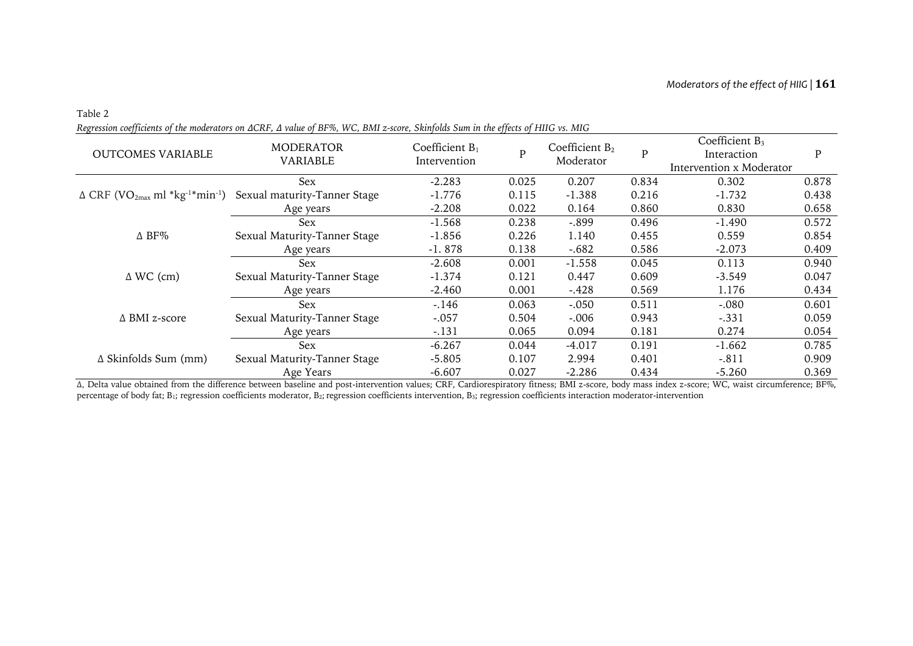| <b>OUTCOMES VARIABLE</b>                                                   | <b>MODERATOR</b><br>VARIABLE | Coefficient $B_1$<br>Intervention | P     | Coefficient $B_2$<br>Moderator | $\mathbf{P}$ | Coefficient $B_3$<br>Interaction<br>Intervention x Moderator | P     |
|----------------------------------------------------------------------------|------------------------------|-----------------------------------|-------|--------------------------------|--------------|--------------------------------------------------------------|-------|
| $\Delta$ CRF (VO <sub>2max</sub> ml *kg <sup>-1*</sup> min <sup>-1</sup> ) | Sex                          | $-2.283$                          | 0.025 | 0.207                          | 0.834        | 0.302                                                        | 0.878 |
|                                                                            | Sexual maturity-Tanner Stage | $-1.776$                          | 0.115 | $-1.388$                       | 0.216        | $-1.732$                                                     | 0.438 |
|                                                                            | Age years                    | $-2.208$                          | 0.022 | 0.164                          | 0.860        | 0.830                                                        | 0.658 |
| $\Delta$ BF%                                                               | <b>Sex</b>                   | $-1.568$                          | 0.238 | $-.899$                        | 0.496        | $-1.490$                                                     | 0.572 |
|                                                                            | Sexual Maturity-Tanner Stage | $-1.856$                          | 0.226 | 1.140                          | 0.455        | 0.559                                                        | 0.854 |
|                                                                            | Age years                    | $-1.878$                          | 0.138 | $-.682$                        | 0.586        | $-2.073$                                                     | 0.409 |
| $\Delta$ WC (cm)                                                           | Sex                          | $-2.608$                          | 0.001 | $-1.558$                       | 0.045        | 0.113                                                        | 0.940 |
|                                                                            | Sexual Maturity-Tanner Stage | $-1.374$                          | 0.121 | 0.447                          | 0.609        | $-3.549$                                                     | 0.047 |
|                                                                            | Age years                    | $-2.460$                          | 0.001 | $-.428$                        | 0.569        | 1.176                                                        | 0.434 |
| $\triangle$ BMI z-score                                                    | Sex                          | $-.146$                           | 0.063 | $-.050$                        | 0.511        | $-.080$                                                      | 0.601 |
|                                                                            | Sexual Maturity-Tanner Stage | $-.057$                           | 0.504 | $-.006$                        | 0.943        | $-.331$                                                      | 0.059 |
|                                                                            | Age years                    | $-.131$                           | 0.065 | 0.094                          | 0.181        | 0.274                                                        | 0.054 |
| $\Delta$ Skinfolds Sum (mm)                                                | <b>Sex</b>                   | $-6.267$                          | 0.044 | $-4.017$                       | 0.191        | $-1.662$                                                     | 0.785 |
|                                                                            | Sexual Maturity-Tanner Stage | $-5.805$                          | 0.107 | 2.994                          | 0.401        | $-.811$                                                      | 0.909 |
|                                                                            | Age Years                    | $-6.607$                          | 0.027 | $-2.286$                       | 0.434        | $-5.260$                                                     | 0.369 |

*Regression coefficients of the moderators on ΔCRF, Δ value of BF%, WC, BMI z-score, Skinfolds Sum in the effects of HIIG vs. MIG*

Table 2

Δ, Delta value obtained from the difference between baseline and post-intervention values; CRF, Cardiorespiratory fitness; BMI z-score, body mass index z-score; WC, waist circumference; BF%, percentage of body fat; B<sub>1</sub>; regression coefficients moderator, B<sub>2</sub>; regression coefficients intervention, B<sub>3</sub>; regression coefficients interaction moderator-intervention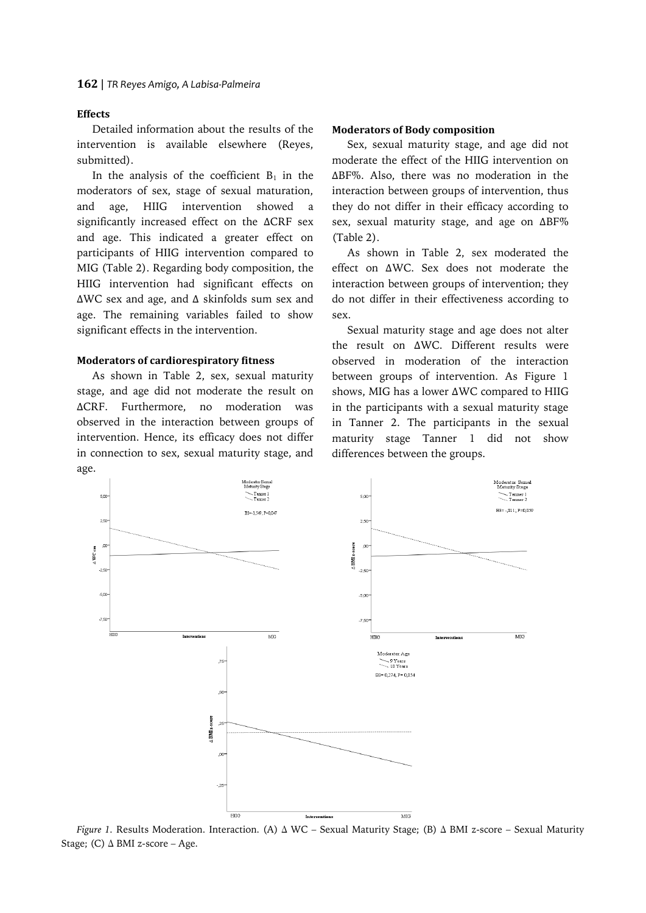# **Effects**

Detailed information about the results of the intervention is available elsewhere (Reyes, submitted).

In the analysis of the coefficient  $B_1$  in the moderators of sex, stage of sexual maturation, and age, HIIG intervention showed a significantly increased effect on the ΔCRF sex and age. This indicated a greater effect on participants of HIIG intervention compared to MIG (Table 2). Regarding body composition, the HIIG intervention had significant effects on ΔWC sex and age, and Δ skinfolds sum sex and age. The remaining variables failed to show significant effects in the intervention.

## **Moderators of cardiorespiratory fitness**

As shown in Table 2, sex, sexual maturity stage, and age did not moderate the result on ΔCRF. Furthermore, no moderation was observed in the interaction between groups of intervention. Hence, its efficacy does not differ in connection to sex, sexual maturity stage, and age.

#### **Moderators of Body composition**

Sex, sexual maturity stage, and age did not moderate the effect of the HIIG intervention on ΔBF%. Also, there was no moderation in the interaction between groups of intervention, thus they do not differ in their efficacy according to sex, sexual maturity stage, and age on ΔBF% (Table 2).

As shown in Table 2, sex moderated the effect on ΔWC. Sex does not moderate the interaction between groups of intervention; they do not differ in their effectiveness according to sex.

Sexual maturity stage and age does not alter the result on ΔWC. Different results were observed in moderation of the interaction between groups of intervention. As Figure 1 shows, MIG has a lower ΔWC compared to HIIG in the participants with a sexual maturity stage in Tanner 2. The participants in the sexual maturity stage Tanner 1 did not show differences between the groups.



*Figure 1.* Results Moderation. Interaction. (A) ∆ WC – Sexual Maturity Stage; (B) ∆ BMI z-score – Sexual Maturity Stage; (C) ∆ BMI z-score – Age.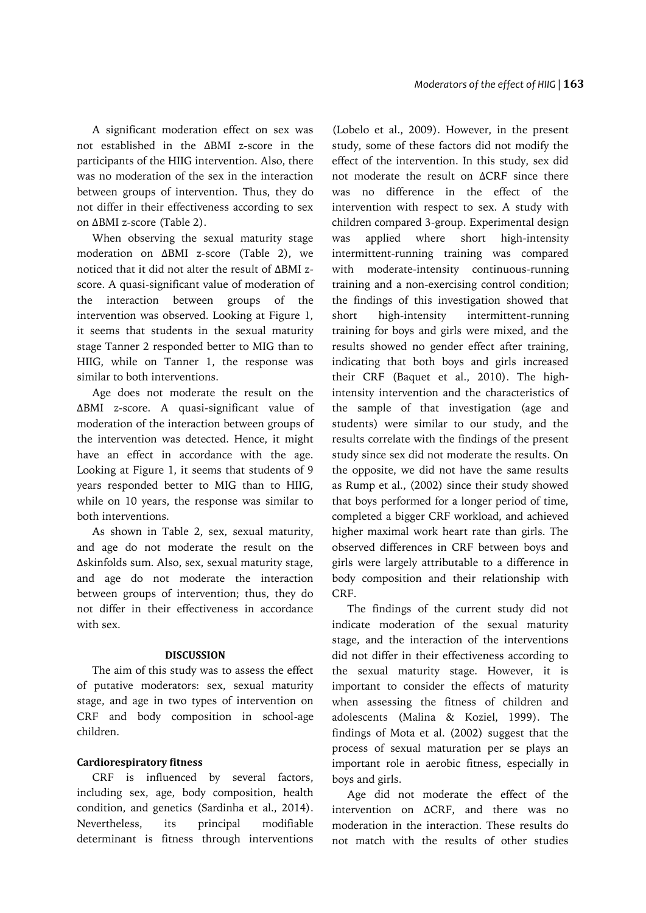A significant moderation effect on sex was not established in the ΔBMI z-score in the participants of the HIIG intervention. Also, there was no moderation of the sex in the interaction between groups of intervention. Thus, they do not differ in their effectiveness according to sex on ΔBMI z-score (Table 2).

When observing the sexual maturity stage moderation on ΔBMI z-score (Table 2), we noticed that it did not alter the result of ΔBMI zscore. A quasi-significant value of moderation of the interaction between groups of the intervention was observed. Looking at Figure 1, it seems that students in the sexual maturity stage Tanner 2 responded better to MIG than to HIIG, while on Tanner 1, the response was similar to both interventions.

Age does not moderate the result on the ΔBMI z-score. A quasi-significant value of moderation of the interaction between groups of the intervention was detected. Hence, it might have an effect in accordance with the age. Looking at Figure 1, it seems that students of 9 years responded better to MIG than to HIIG, while on 10 years, the response was similar to both interventions.

As shown in Table 2, sex, sexual maturity, and age do not moderate the result on the Δskinfolds sum. Also, sex, sexual maturity stage, and age do not moderate the interaction between groups of intervention; thus, they do not differ in their effectiveness in accordance with sex.

## **DISCUSSION**

The aim of this study was to assess the effect of putative moderators: sex, sexual maturity stage, and age in two types of intervention on CRF and body composition in school-age children.

## **Cardiorespiratory fitness**

CRF is influenced by several factors, including sex, age, body composition, health condition, and genetics (Sardinha et al., 2014). Nevertheless, its principal modifiable determinant is fitness through interventions

(Lobelo et al., 2009). However, in the present study, some of these factors did not modify the effect of the intervention. In this study, sex did not moderate the result on ΔCRF since there was no difference in the effect of the intervention with respect to sex. A study with children compared 3-group. Experimental design was applied where short high-intensity intermittent-running training was compared with moderate-intensity continuous-running training and a non-exercising control condition; the findings of this investigation showed that short high-intensity intermittent-running training for boys and girls were mixed, and the results showed no gender effect after training, indicating that both boys and girls increased their CRF (Baquet et al., 2010). The highintensity intervention and the characteristics of the sample of that investigation (age and students) were similar to our study, and the results correlate with the findings of the present study since sex did not moderate the results. On the opposite, we did not have the same results as Rump et al., (2002) since their study showed that boys performed for a longer period of time, completed a bigger CRF workload, and achieved higher maximal work heart rate than girls. The observed differences in CRF between boys and girls were largely attributable to a difference in body composition and their relationship with CRF.

The findings of the current study did not indicate moderation of the sexual maturity stage, and the interaction of the interventions did not differ in their effectiveness according to the sexual maturity stage. However, it is important to consider the effects of maturity when assessing the fitness of children and adolescents (Malina & Koziel, 1999). The findings of Mota et al. (2002) suggest that the process of sexual maturation per se plays an important role in aerobic fitness, especially in boys and girls.

Age did not moderate the effect of the intervention on ΔCRF, and there was no moderation in the interaction. These results do not match with the results of other studies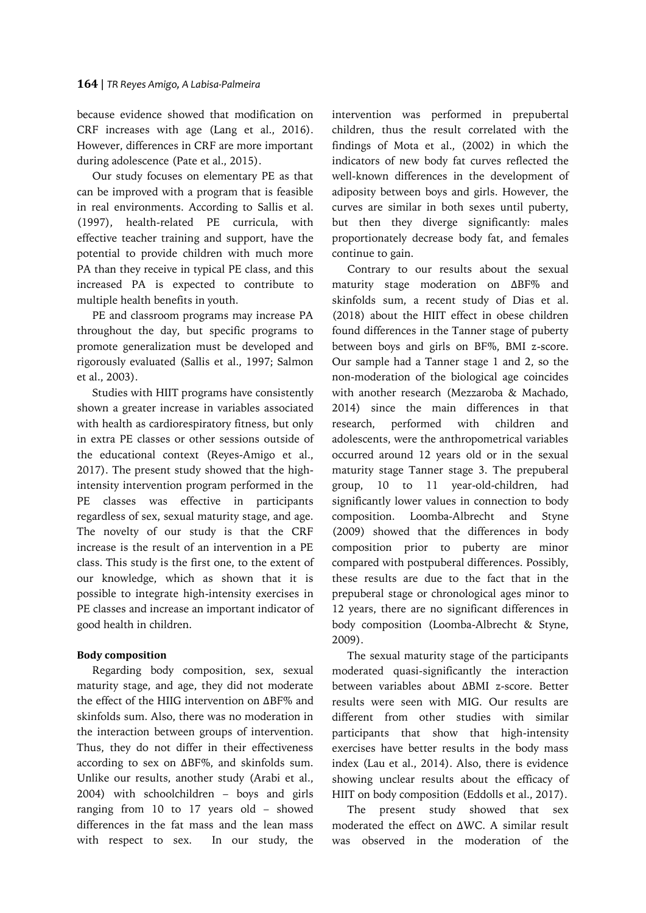because evidence showed that modification on CRF increases with age (Lang et al., 2016). However, differences in CRF are more important during adolescence (Pate et al., 2015).

Our study focuses on elementary PE as that can be improved with a program that is feasible in real environments. According to Sallis et al. (1997), health-related PE curricula, with effective teacher training and support, have the potential to provide children with much more PA than they receive in typical PE class, and this increased PA is expected to contribute to multiple health benefits in youth.

PE and classroom programs may increase PA throughout the day, but specific programs to promote generalization must be developed and rigorously evaluated (Sallis et al., 1997; Salmon et al., 2003).

Studies with HIIT programs have consistently shown a greater increase in variables associated with health as cardiorespiratory fitness, but only in extra PE classes or other sessions outside of the educational context (Reyes-Amigo et al., 2017). The present study showed that the highintensity intervention program performed in the PE classes was effective in participants regardless of sex, sexual maturity stage, and age. The novelty of our study is that the CRF increase is the result of an intervention in a PE class. This study is the first one, to the extent of our knowledge, which as shown that it is possible to integrate high-intensity exercises in PE classes and increase an important indicator of good health in children.

# **Body composition**

Regarding body composition, sex, sexual maturity stage, and age, they did not moderate the effect of the HIIG intervention on ΔBF% and skinfolds sum. Also, there was no moderation in the interaction between groups of intervention. Thus, they do not differ in their effectiveness according to sex on ΔBF%, and skinfolds sum. Unlike our results, another study (Arabi et al., 2004) with schoolchildren – boys and girls ranging from 10 to 17 years old – showed differences in the fat mass and the lean mass with respect to sex. In our study, the

intervention was performed in prepubertal children, thus the result correlated with the findings of Mota et al., (2002) in which the indicators of new body fat curves reflected the well-known differences in the development of adiposity between boys and girls. However, the curves are similar in both sexes until puberty, but then they diverge significantly: males proportionately decrease body fat, and females continue to gain.

Contrary to our results about the sexual maturity stage moderation on ΔBF% and skinfolds sum, a recent study of Dias et al. (2018) about the HIIT effect in obese children found differences in the Tanner stage of puberty between boys and girls on BF%, BMI z-score. Our sample had a Tanner stage 1 and 2, so the non-moderation of the biological age coincides with another research (Mezzaroba & Machado, 2014) since the main differences in that research, performed with children and adolescents, were the anthropometrical variables occurred around 12 years old or in the sexual maturity stage Tanner stage 3. The prepuberal group, 10 to 11 year-old-children, had significantly lower values in connection to body composition. Loomba-Albrecht and Styne (2009) showed that the differences in body composition prior to puberty are minor compared with postpuberal differences. Possibly, these results are due to the fact that in the prepuberal stage or chronological ages minor to 12 years, there are no significant differences in body composition (Loomba-Albrecht & Styne, 2009).

The sexual maturity stage of the participants moderated quasi-significantly the interaction between variables about ΔBMI z-score. Better results were seen with MIG. Our results are different from other studies with similar participants that show that high-intensity exercises have better results in the body mass index (Lau et al., 2014). Also, there is evidence showing unclear results about the efficacy of HIIT on body composition (Eddolls et al., 2017).

The present study showed that sex moderated the effect on ΔWC. A similar result was observed in the moderation of the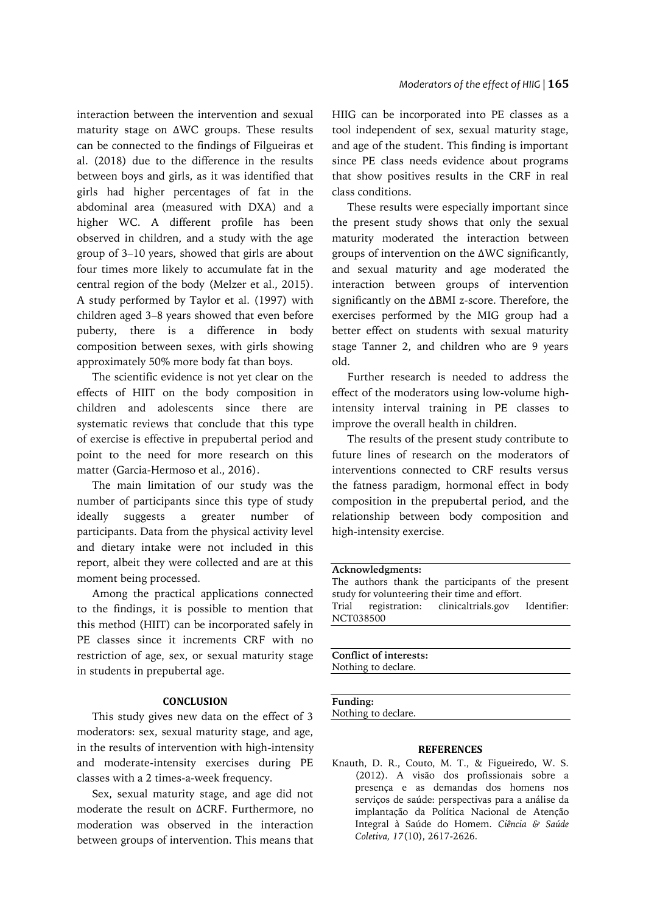interaction between the intervention and sexual maturity stage on ΔWC groups. These results can be connected to the findings of Filgueiras et al. (2018) due to the difference in the results between boys and girls, as it was identified that girls had higher percentages of fat in the abdominal area (measured with DXA) and a higher WC. A different profile has been observed in children, and a study with the age group of 3–10 years, showed that girls are about four times more likely to accumulate fat in the central region of the body (Melzer et al., 2015). A study performed by Taylor et al. (1997) with children aged 3–8 years showed that even before puberty, there is a difference in body composition between sexes, with girls showing approximately 50% more body fat than boys.

The scientific evidence is not yet clear on the effects of HIIT on the body composition in children and adolescents since there are systematic reviews that conclude that this type of exercise is effective in prepubertal period and point to the need for more research on this matter (Garcia-Hermoso et al., 2016).

The main limitation of our study was the number of participants since this type of study ideally suggests a greater number of participants. Data from the physical activity level and dietary intake were not included in this report, albeit they were collected and are at this moment being processed.

Among the practical applications connected to the findings, it is possible to mention that this method (HIIT) can be incorporated safely in PE classes since it increments CRF with no restriction of age, sex, or sexual maturity stage in students in prepubertal age.

## **CONCLUSION**

This study gives new data on the effect of 3 moderators: sex, sexual maturity stage, and age, in the results of intervention with high-intensity and moderate-intensity exercises during PE classes with a 2 times-a-week frequency.

Sex, sexual maturity stage, and age did not moderate the result on ΔCRF. Furthermore, no moderation was observed in the interaction between groups of intervention. This means that HIIG can be incorporated into PE classes as a tool independent of sex, sexual maturity stage, and age of the student. This finding is important since PE class needs evidence about programs that show positives results in the CRF in real class conditions.

These results were especially important since the present study shows that only the sexual maturity moderated the interaction between groups of intervention on the ΔWC significantly, and sexual maturity and age moderated the interaction between groups of intervention significantly on the ΔBMI z-score. Therefore, the exercises performed by the MIG group had a better effect on students with sexual maturity stage Tanner 2, and children who are 9 years old.

Further research is needed to address the effect of the moderators using low-volume highintensity interval training in PE classes to improve the overall health in children.

The results of the present study contribute to future lines of research on the moderators of interventions connected to CRF results versus the fatness paradigm, hormonal effect in body composition in the prepubertal period, and the relationship between body composition and high-intensity exercise.

## **Acknowledgments:**

The authors thank the participants of the present study for volunteering their time and effort. Trial registration: clinicaltrials.gov Identifier:

NCT038500

**Conflict of interests:** Nothing to declare.

**Funding:**

Nothing to declare.

## **REFERENCES**

Knauth, D. R., Couto, M. T., & Figueiredo, W. S. (2012). A visão dos profissionais sobre a presença e as demandas dos homens nos serviços de saúde: perspectivas para a análise da implantação da Política Nacional de Atenção Integral à Saúde do Homem. *Ciência & Saúde Coletiva, 17*(10), 2617-2626.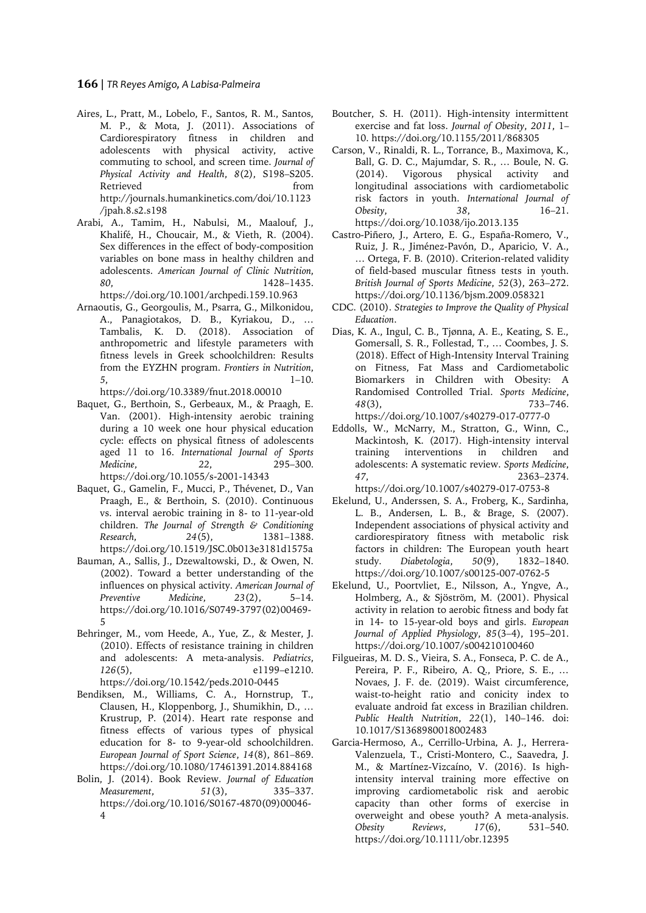## **166** | *TR Reyes Amigo, A Labisa-Palmeira*

- Aires, L., Pratt, M., Lobelo, F., Santos, R. M., Santos, M. P., & Mota, J. (2011). Associations of Cardiorespiratory fitness in children and adolescents with physical activity, active commuting to school, and screen time. *Journal of Physical Activity and Health*, *8*(2), S198–S205. Retrieved from http://journals.humankinetics.com/doi/10.1123 /jpah.8.s2.s198
- Arabi, A., Tamim, H., Nabulsi, M., Maalouf, J., Khalifé, H., Choucair, M., & Vieth, R. (2004). Sex differences in the effect of body-composition variables on bone mass in healthy children and adolescents. *American Journal of Clinic Nutrition*, *80*, 1428–1435.

https://doi.org/10.1001/archpedi.159.10.963

Arnaoutis, G., Georgoulis, M., Psarra, G., Milkonidou, A., Panagiotakos, D. B., Kyriakou, D., … Tambalis, K. D. (2018). Association of anthropometric and lifestyle parameters with fitness levels in Greek schoolchildren: Results from the EYZHN program. *Frontiers in Nutrition*, *5*, 1–10.

https://doi.org/10.3389/fnut.2018.00010

- Baquet, G., Berthoin, S., Gerbeaux, M., & Praagh, E. Van. (2001). High-intensity aerobic training during a 10 week one hour physical education cycle: effects on physical fitness of adolescents aged 11 to 16. *International Journal of Sports Medicine*, *22*, 295–300. https://doi.org/10.1055/s-2001-14343
- Baquet, G., Gamelin, F., Mucci, P., Thévenet, D., Van Praagh, E., & Berthoin, S. (2010). Continuous vs. interval aerobic training in 8- to 11-year-old children. *The Journal of Strength & Conditioning Research*, *24*(5), 1381–1388. https://doi.org/10.1519/JSC.0b013e3181d1575a
- Bauman, A., Sallis, J., Dzewaltowski, D., & Owen, N. (2002). Toward a better understanding of the influences on physical activity. *American Journal of Preventive Medicine*, *23*(2), 5–14. https://doi.org/10.1016/S0749-3797(02)00469- 5
- Behringer, M., vom Heede, A., Yue, Z., & Mester, J. (2010). Effects of resistance training in children and adolescents: A meta-analysis. *Pediatrics*, *126*(5), e1199–e1210. https://doi.org/10.1542/peds.2010-0445
- Bendiksen, M., Williams, C. A., Hornstrup, T., Clausen, H., Kloppenborg, J., Shumikhin, D., … Krustrup, P. (2014). Heart rate response and fitness effects of various types of physical education for 8- to 9-year-old schoolchildren. *European Journal of Sport Science*, *14*(8), 861–869. https://doi.org/10.1080/17461391.2014.884168
- Bolin, J. (2014). Book Review. *Journal of Education Measurement*, *51*(3), 335–337. https://doi.org/10.1016/S0167-4870(09)00046- 4
- Boutcher, S. H. (2011). High-intensity intermittent exercise and fat loss. *Journal of Obesity*, *2011*, 1– 10. https://doi.org/10.1155/2011/868305
- Carson, V., Rinaldi, R. L., Torrance, B., Maximova, K., Ball, G. D. C., Majumdar, S. R., … Boule, N. G. (2014). Vigorous physical activity and longitudinal associations with cardiometabolic risk factors in youth. *International Journal of Obesity*, *38*, 16–21. https://doi.org/10.1038/ijo.2013.135
- Castro-Piñero, J., Artero, E. G., España-Romero, V., Ruiz, J. R., Jiménez-Pavón, D., Aparicio, V. A., … Ortega, F. B. (2010). Criterion-related validity of field-based muscular fitness tests in youth. *British Journal of Sports Medicine*, *52*(3), 263–272. https://doi.org/10.1136/bjsm.2009.058321
- CDC. (2010). *Strategies to Improve the Quality of Physical Education*.
- Dias, K. A., Ingul, C. B., Tjønna, A. E., Keating, S. E., Gomersall, S. R., Follestad, T., … Coombes, J. S. (2018). Effect of High-Intensity Interval Training on Fitness, Fat Mass and Cardiometabolic Biomarkers in Children with Obesity: A Randomised Controlled Trial. *Sports Medicine*, *48*(3), 733–746. https://doi.org/10.1007/s40279-017-0777-0
- Eddolls, W., McNarry, M., Stratton, G., Winn, C., Mackintosh, K. (2017). High-intensity interval training interventions in children and adolescents: A systematic review. *Sports Medicine*, *47*, 2363–2374. https://doi.org/10.1007/s40279-017-0753-8
- Ekelund, U., Anderssen, S. A., Froberg, K., Sardinha, L. B., Andersen, L. B., & Brage, S. (2007). Independent associations of physical activity and cardiorespiratory fitness with metabolic risk factors in children: The European youth heart study. *Diabetologia*, *50*(9), 1832–1840. https://doi.org/10.1007/s00125-007-0762-5
- Ekelund, U., Poortvliet, E., Nilsson, A., Yngve, A., Holmberg, A., & Sjöström, M. (2001). Physical activity in relation to aerobic fitness and body fat in 14- to 15-year-old boys and girls. *European Journal of Applied Physiology*, *85*(3–4), 195–201. https://doi.org/10.1007/s004210100460
- Filgueiras, M. D. S., Vieira, S. A., Fonseca, P. C. de A., Pereira, P. F., Ribeiro, A. Q., Priore, S. E., … Novaes, J. F. de. (2019). Waist circumference, waist-to-height ratio and conicity index to evaluate android fat excess in Brazilian children. *Public Health Nutrition*, *22*(1), 140–146. doi: 10.1017/S1368980018002483
- Garcia-Hermoso, A., Cerrillo-Urbina, A. J., Herrera-Valenzuela, T., Cristi-Montero, C., Saavedra, J. M., & Martínez-Vizcaíno, V. (2016). Is highintensity interval training more effective on improving cardiometabolic risk and aerobic capacity than other forms of exercise in overweight and obese youth? A meta-analysis. *Obesity Reviews*, *17*(6), 531–540. https://doi.org/10.1111/obr.12395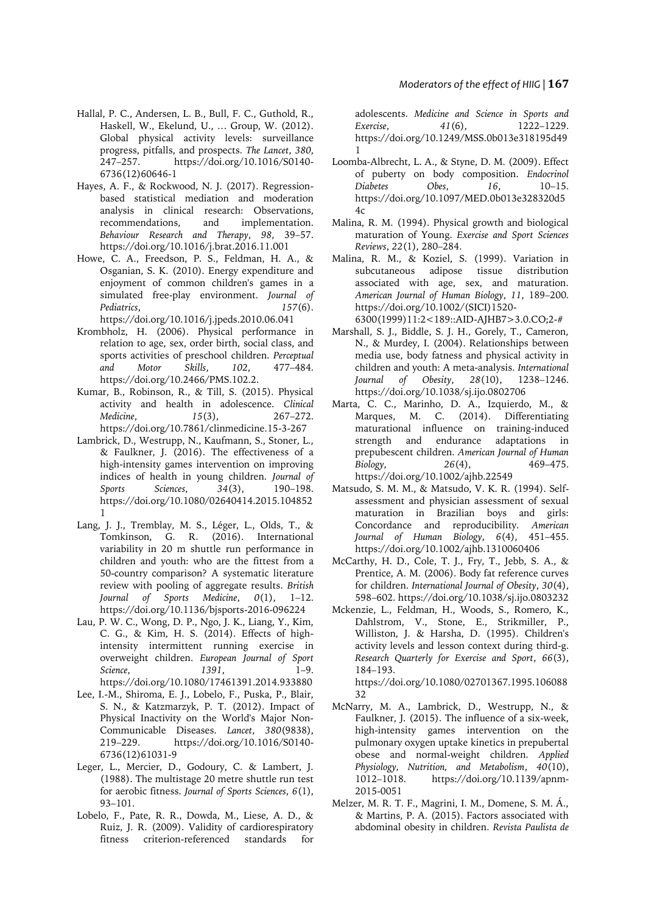- Hallal, P. C., Andersen, L. B., Bull, F. C., Guthold, R., Haskell, W., Ekelund, U., … Group, W. (2012). Global physical activity levels: surveillance progress, pitfalls, and prospects. *The Lancet*, *380*, https://doi.org/10.1016/S0140-6736(12)60646-1
- Hayes, A. F., & Rockwood, N. J. (2017). Regressionbased statistical mediation and moderation analysis in clinical research: Observations, recommendations, and implementation. *Behaviour Research and Therapy*, *98*, 39–57. https://doi.org/10.1016/j.brat.2016.11.001
- Howe, C. A., Freedson, P. S., Feldman, H. A., & Osganian, S. K. (2010). Energy expenditure and enjoyment of common children's games in a simulated free-play environment. *Journal of Pediatrics*, *157*(6). https://doi.org/10.1016/j.jpeds.2010.06.041
- Krombholz, H. (2006). Physical performance in relation to age, sex, order birth, social class, and sports activities of preschool children. *Perceptual and Motor Skills*, *102*, 477–484. https://doi.org/10.2466/PMS.102.2.
- Kumar, B., Robinson, R., & Till, S. (2015). Physical activity and health in adolescence. *Clinical Medicine*, *15*(3), 267–272. https://doi.org/10.7861/clinmedicine.15-3-267
- Lambrick, D., Westrupp, N., Kaufmann, S., Stoner, L., & Faulkner, J. (2016). The effectiveness of a high-intensity games intervention on improving indices of health in young children. *Journal of Sports Sciences*, *34*(3), 190–198. https://doi.org/10.1080/02640414.2015.104852 1
- Lang, J. J., Tremblay, M. S., Léger, L., Olds, T., & Tomkinson, G. R. (2016). International variability in 20 m shuttle run performance in children and youth: who are the fittest from a 50-country comparison? A systematic literature review with pooling of aggregate results. *British Journal of Sports Medicine*, *0*(1), 1–12. https://doi.org/10.1136/bjsports-2016-096224
- Lau, P. W. C., Wong, D. P., Ngo, J. K., Liang, Y., Kim, C. G., & Kim, H. S. (2014). Effects of highintensity intermittent running exercise in overweight children. *European Journal of Sport Science*, *1391*, 1–9. https://doi.org/10.1080/17461391.2014.933880
- Lee, I.-M., Shiroma, E. J., Lobelo, F., Puska, P., Blair, S. N., & Katzmarzyk, P. T. (2012). Impact of Physical Inactivity on the World's Major Non-Communicable Diseases. *Lancet*, *380*(9838), 219–229. https://doi.org/10.1016/S0140- 6736(12)61031-9
- Leger, L., Mercier, D., Godoury, C. & Lambert, J. (1988). The multistage 20 metre shuttle run test for aerobic fitness. *Journal of Sports Sciences*, *6*(1), 93–101.
- Lobelo, F., Pate, R. R., Dowda, M., Liese, A. D., & Ruiz, J. R. (2009). Validity of cardiorespiratory fitness criterion-referenced standards for

adolescents. *Medicine and Science in Sports and Exercise*, *41*(6), 1222–1229. https://doi.org/10.1249/MSS.0b013e318195d49 1

- Loomba-Albrecht, L. A., & Styne, D. M. (2009). Effect of puberty on body composition. *Endocrinol Diabetes Obes*, *16*, 10–15. https://doi.org/10.1097/MED.0b013e328320d5  $4c$
- Malina, R. M. (1994). Physical growth and biological maturation of Young. *Exercise and Sport Sciences Reviews*, *22*(1), 280–284.
- Malina, R. M., & Koziel, S. (1999). Variation in subcutaneous adipose tissue distribution associated with age, sex, and maturation. *American Journal of Human Biology*, *11*, 189–200. https://doi.org/10.1002/(SICI)1520- 6300(1999)11:2<189::AID-AJHB7>3.0.CO;2-#
- Marshall, S. J., Biddle, S. J. H., Gorely, T., Cameron, N., & Murdey, I. (2004). Relationships between media use, body fatness and physical activity in children and youth: A meta-analysis. *International Journal of Obesity*, *28*(10), 1238–1246. https://doi.org/10.1038/sj.ijo.0802706
- Marta, C. C., Marinho, D. A., Izquierdo, M., & Marques, M. C. (2014). Differentiating maturational influence on training-induced strength and endurance adaptations in prepubescent children. *American Journal of Human Biology*, *26*(4), 469–475. https://doi.org/10.1002/ajhb.22549
- Matsudo, S. M. M., & Matsudo, V. K. R. (1994). Self‐ assessment and physician assessment of sexual maturation in Brazilian boys and girls: Concordance and reproducibility. *American Journal of Human Biology*, *6*(4), 451–455. https://doi.org/10.1002/ajhb.1310060406
- McCarthy, H. D., Cole, T. J., Fry, T., Jebb, S. A., & Prentice, A. M. (2006). Body fat reference curves for children. *International Journal of Obesity*, *30*(4), 598–602. https://doi.org/10.1038/sj.ijo.0803232
- Mckenzie, L., Feldman, H., Woods, S., Romero, K., Dahlstrom, V., Stone, E., Strikmiller, P., Williston, J. & Harsha, D. (1995). Children's activity levels and lesson context during third-g. *Research Quarterly for Exercise and Sport*, *66*(3), 184–193.

https://doi.org/10.1080/02701367.1995.106088 32

- McNarry, M. A., Lambrick, D., Westrupp, N., & Faulkner, J. (2015). The influence of a six-week, high-intensity games intervention on the pulmonary oxygen uptake kinetics in prepubertal obese and normal-weight children. *Applied Physiology, Nutrition, and Metabolism*, *40*(10), 1012–1018. https://doi.org/10.1139/apnm-2015-0051
- Melzer, M. R. T. F., Magrini, I. M., Domene, S. M. Á., & Martins, P. A. (2015). Factors associated with abdominal obesity in children. *Revista Paulista de*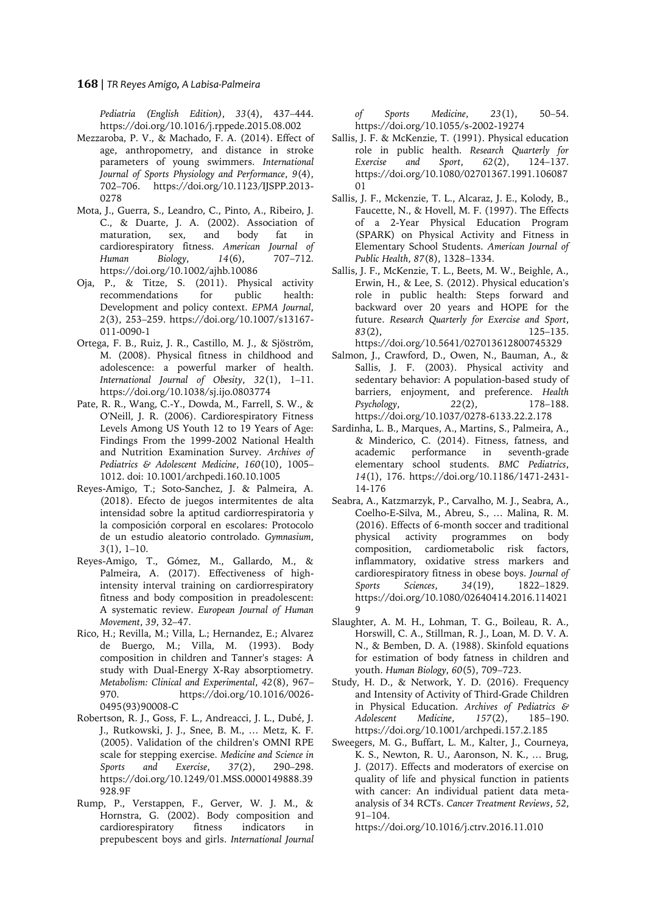## **168** | *TR Reyes Amigo, A Labisa-Palmeira*

*Pediatria (English Edition)*, *33*(4), 437–444. https://doi.org/10.1016/j.rppede.2015.08.002

- Mezzaroba, P. V., & Machado, F. A. (2014). Effect of age, anthropometry, and distance in stroke parameters of young swimmers. *International Journal of Sports Physiology and Performance*, *9*(4), 702–706. https://doi.org/10.1123/IJSPP.2013- 0278
- Mota, J., Guerra, S., Leandro, C., Pinto, A., Ribeiro, J. C., & Duarte, J. A. (2002). Association of maturation, sex, and body fat in cardiorespiratory fitness. *American Journal of Human Biology*, *14*(6), 707–712. https://doi.org/10.1002/ajhb.10086
- Oja, P., & Titze, S. (2011). Physical activity recommendations for public health: Development and policy context. *EPMA Journal*, *2*(3), 253–259. https://doi.org/10.1007/s13167- 011-0090-1
- Ortega, F. B., Ruiz, J. R., Castillo, M. J., & Sjöström, M. (2008). Physical fitness in childhood and adolescence: a powerful marker of health. *International Journal of Obesity*, *32*(1), 1–11. https://doi.org/10.1038/sj.ijo.0803774
- Pate, R. R., Wang, C.-Y., Dowda, M., Farrell, S. W., & O'Neill, J. R. (2006). Cardiorespiratory Fitness Levels Among US Youth 12 to 19 Years of Age: Findings From the 1999-2002 National Health and Nutrition Examination Survey. *Archives of Pediatrics & Adolescent Medicine*, *160*(10), 1005– 1012. doi: 10.1001/archpedi.160.10.1005
- Reyes-Amigo, T.; Soto-Sanchez, J. & Palmeira, A. (2018). Efecto de juegos intermitentes de alta intensidad sobre la aptitud cardiorrespiratoria y la composición corporal en escolares: Protocolo de un estudio aleatorio controlado. *Gymnasium*, *3*(1), 1–10.
- Reyes-Amigo, T., Gómez, M., Gallardo, M., & Palmeira, A. (2017). Effectiveness of highintensity interval training on cardiorrespiratory fitness and body composition in preadolescent: A systematic review. *European Journal of Human Movement*, *39*, 32–47.
- Rico, H.; Revilla, M.; Villa, L.; Hernandez, E.; Alvarez de Buergo, M.; Villa, M. (1993). Body composition in children and Tanner's stages: A study with Dual-Energy X-Ray absorptiometry. *Metabolism: Clinical and Experimental*, *42*(8), 967– 970. https://doi.org/10.1016/0026- 0495(93)90008-C
- Robertson, R. J., Goss, F. L., Andreacci, J. L., Dubé, J. J., Rutkowski, J. J., Snee, B. M., … Metz, K. F. (2005). Validation of the children's OMNI RPE scale for stepping exercise. *Medicine and Science in Sports and Exercise*, *37*(2), 290–298. https://doi.org/10.1249/01.MSS.0000149888.39 928.9F
- Rump, P., Verstappen, F., Gerver, W. J. M., & Hornstra, G. (2002). Body composition and cardiorespiratory fitness indicators in prepubescent boys and girls. *International Journal*

*of Sports Medicine*, *23*(1), 50–54. https://doi.org/10.1055/s-2002-19274

- Sallis, J. F. & McKenzie, T. (1991). Physical education role in public health. *Research Quarterly for Exercise and Sport*, *62*(2), 124–137. https://doi.org/10.1080/02701367.1991.106087 01
- Sallis, J. F., Mckenzie, T. L., Alcaraz, J. E., Kolody, B., Faucette, N., & Hovell, M. F. (1997). The Effects of a 2-Year Physical Education Program (SPARK) on Physical Activity and Fitness in Elementary School Students. *American Journal of Public Health*, *87*(8), 1328–1334.
- Sallis, J. F., McKenzie, T. L., Beets, M. W., Beighle, A., Erwin, H., & Lee, S. (2012). Physical education's role in public health: Steps forward and backward over 20 years and HOPE for the future. *Research Quarterly for Exercise and Sport*, *83*(2), 125–135. https://doi.org/10.5641/027013612800745329
- Salmon, J., Crawford, D., Owen, N., Bauman, A., & Sallis, J. F. (2003). Physical activity and sedentary behavior: A population-based study of barriers, enjoyment, and preference. *Health Psychology*, *22*(2), 178–188. https://doi.org/10.1037/0278-6133.22.2.178
- Sardinha, L. B., Marques, A., Martins, S., Palmeira, A., & Minderico, C. (2014). Fitness, fatness, and academic performance in seventh-grade elementary school students. *BMC Pediatrics*, *14*(1), 176. https://doi.org/10.1186/1471-2431- 14-176
- Seabra, A., Katzmarzyk, P., Carvalho, M. J., Seabra, A., Coelho-E-Silva, M., Abreu, S., … Malina, R. M. (2016). Effects of 6-month soccer and traditional physical activity programmes on body composition, cardiometabolic risk factors, inflammatory, oxidative stress markers and cardiorespiratory fitness in obese boys. *Journal of Sports Sciences*, *34*(19), 1822–1829. https://doi.org/10.1080/02640414.2016.114021 9
- Slaughter, A. M. H., Lohman, T. G., Boileau, R. A., Horswill, C. A., Stillman, R. J., Loan, M. D. V. A. N., & Bemben, D. A. (1988). Skinfold equations for estimation of body fatness in children and youth. *Human Biology*, *60*(5), 709–723.
- Study, H. D., & Network, Y. D. (2016). Frequency and Intensity of Activity of Third-Grade Children in Physical Education. *Archives of Pediatrics & Adolescent Medicine*, *157*(2), 185–190. https://doi.org/10.1001/archpedi.157.2.185
- Sweegers, M. G., Buffart, L. M., Kalter, J., Courneya, K. S., Newton, R. U., Aaronson, N. K., … Brug, J. (2017). Effects and moderators of exercise on quality of life and physical function in patients with cancer: An individual patient data metaanalysis of 34 RCTs. *Cancer Treatment Reviews*, *52*, 91–104.
	- https://doi.org/10.1016/j.ctrv.2016.11.010